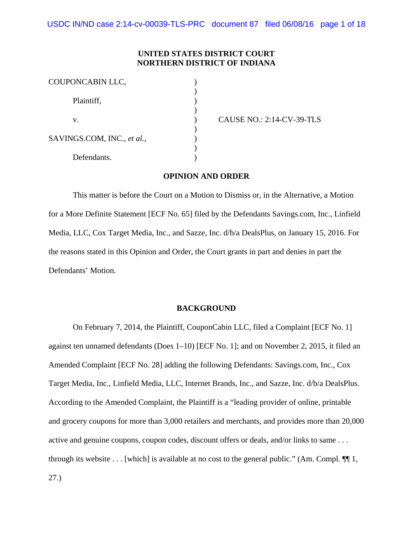# **UNITED STATES DISTRICT COURT NORTHERN DISTRICT OF INDIANA**

| COUPONCABIN LLC,           |  |
|----------------------------|--|
| Plaintiff,                 |  |
| V.                         |  |
| SAVINGS.COM, INC., et al., |  |
| Defendants.                |  |

CAUSE NO.: 2:14-CV-39-TLS

## **OPINION AND ORDER**

This matter is before the Court on a Motion to Dismiss or, in the Alternative, a Motion for a More Definite Statement [ECF No. 65] filed by the Defendants Savings.com, Inc., Linfield Media, LLC, Cox Target Media, Inc., and Sazze, Inc. d/b/a DealsPlus, on January 15, 2016. For the reasons stated in this Opinion and Order, the Court grants in part and denies in part the Defendants' Motion.

#### **BACKGROUND**

On February 7, 2014, the Plaintiff, CouponCabin LLC, filed a Complaint [ECF No. 1] against ten unnamed defendants (Does 1–10) [ECF No. 1]; and on November 2, 2015, it filed an Amended Complaint [ECF No. 28] adding the following Defendants: Savings.com, Inc., Cox Target Media, Inc., Linfield Media, LLC, Internet Brands, Inc., and Sazze, Inc. d/b/a DealsPlus. According to the Amended Complaint, the Plaintiff is a "leading provider of online, printable and grocery coupons for more than 3,000 retailers and merchants, and provides more than 20,000 active and genuine coupons, coupon codes, discount offers or deals, and/or links to same . . . through its website  $\dots$  [which] is available at no cost to the general public." (Am. Compl.  $\P$ ],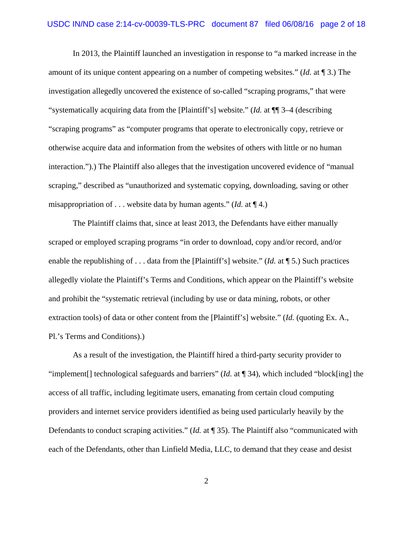In 2013, the Plaintiff launched an investigation in response to "a marked increase in the amount of its unique content appearing on a number of competing websites." (*Id.* at ¶ 3.) The investigation allegedly uncovered the existence of so-called "scraping programs," that were "systematically acquiring data from the [Plaintiff's] website." (*Id.* at ¶¶ 3–4 (describing "scraping programs" as "computer programs that operate to electronically copy, retrieve or otherwise acquire data and information from the websites of others with little or no human interaction.").) The Plaintiff also alleges that the investigation uncovered evidence of "manual scraping," described as "unauthorized and systematic copying, downloading, saving or other misappropriation of . . . website data by human agents." (*Id.* at ¶ 4.)

The Plaintiff claims that, since at least 2013, the Defendants have either manually scraped or employed scraping programs "in order to download, copy and/or record, and/or enable the republishing of . . . data from the [Plaintiff's] website." (*Id.* at ¶ 5.) Such practices allegedly violate the Plaintiff's Terms and Conditions, which appear on the Plaintiff's website and prohibit the "systematic retrieval (including by use or data mining, robots, or other extraction tools) of data or other content from the [Plaintiff's] website." (*Id.* (quoting Ex. A., Pl.'s Terms and Conditions).)

As a result of the investigation, the Plaintiff hired a third-party security provider to "implement[] technological safeguards and barriers" (*Id.* at ¶ 34), which included "block[ing] the access of all traffic, including legitimate users, emanating from certain cloud computing providers and internet service providers identified as being used particularly heavily by the Defendants to conduct scraping activities." (*Id.* at ¶ 35). The Plaintiff also "communicated with each of the Defendants, other than Linfield Media, LLC, to demand that they cease and desist

2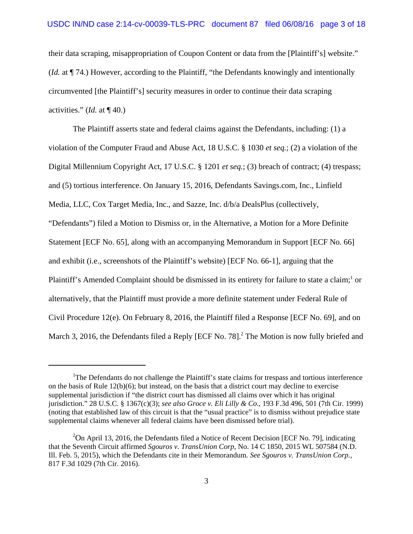their data scraping, misappropriation of Coupon Content or data from the [Plaintiff's] website." (*Id.* at ¶ 74.) However, according to the Plaintiff, "the Defendants knowingly and intentionally circumvented [the Plaintiff's] security measures in order to continue their data scraping activities." (*Id.* at ¶ 40.)

The Plaintiff asserts state and federal claims against the Defendants, including: (1) a violation of the Computer Fraud and Abuse Act, 18 U.S.C. § 1030 *et seq.*; (2) a violation of the Digital Millennium Copyright Act, 17 U.S.C. § 1201 *et seq.*; (3) breach of contract; (4) trespass; and (5) tortious interference. On January 15, 2016, Defendants Savings.com, Inc., Linfield Media, LLC, Cox Target Media, Inc., and Sazze, Inc. d/b/a DealsPlus (collectively, "Defendants") filed a Motion to Dismiss or, in the Alternative, a Motion for a More Definite Statement [ECF No. 65], along with an accompanying Memorandum in Support [ECF No. 66] and exhibit (i.e., screenshots of the Plaintiff's website) [ECF No. 66-1], arguing that the Plaintiff's Amended Complaint should be dismissed in its entirety for failure to state a claim;<sup>1</sup> or alternatively, that the Plaintiff must provide a more definite statement under Federal Rule of Civil Procedure 12(e). On February 8, 2016, the Plaintiff filed a Response [ECF No. 69], and on March 3, 2016, the Defendants filed a Reply [ECF No. 78].<sup>2</sup> The Motion is now fully briefed and

<sup>&</sup>lt;sup>1</sup>The Defendants do not challenge the Plaintiff's state claims for trespass and tortious interference on the basis of Rule  $12(b)(6)$ ; but instead, on the basis that a district court may decline to exercise supplemental jurisdiction if "the district court has dismissed all claims over which it has original jurisdiction." 28 U.S.C. § 1367(c)(3); *see also Groce v. Eli Lilly & Co.*, 193 F.3d 496, 501 (7th Cir. 1999) (noting that established law of this circuit is that the "usual practice" is to dismiss without prejudice state supplemental claims whenever all federal claims have been dismissed before trial).

 $2$ On April 13, 2016, the Defendants filed a Notice of Recent Decision [ECF No. 79], indicating that the Seventh Circuit affirmed *Sgouros v. TransUnion Corp*, No. 14 C 1850, 2015 WL 507584 (N.D. Ill. Feb. 5, 2015), which the Defendants cite in their Memorandum. *See Sgouros v. TransUnion Corp.*, 817 F.3d 1029 (7th Cir. 2016).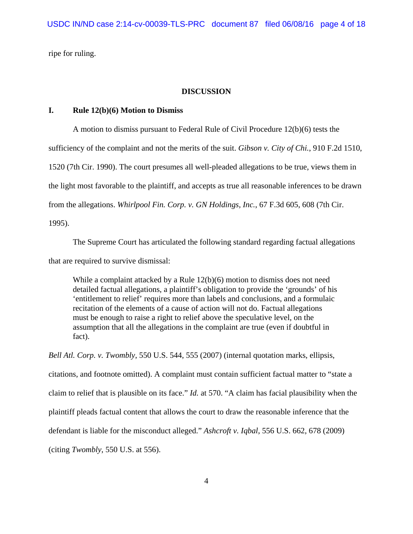ripe for ruling.

#### **DISCUSSION**

# **I. Rule 12(b)(6) Motion to Dismiss**

A motion to dismiss pursuant to Federal Rule of Civil Procedure 12(b)(6) tests the sufficiency of the complaint and not the merits of the suit. *Gibson v. City of Chi.*, 910 F.2d 1510, 1520 (7th Cir. 1990). The court presumes all well-pleaded allegations to be true, views them in the light most favorable to the plaintiff, and accepts as true all reasonable inferences to be drawn from the allegations. *Whirlpool Fin. Corp. v. GN Holdings, Inc.*, 67 F.3d 605, 608 (7th Cir. 1995).

The Supreme Court has articulated the following standard regarding factual allegations that are required to survive dismissal:

While a complaint attacked by a Rule 12(b)(6) motion to dismiss does not need detailed factual allegations, a plaintiff's obligation to provide the 'grounds' of his 'entitlement to relief' requires more than labels and conclusions, and a formulaic recitation of the elements of a cause of action will not do. Factual allegations must be enough to raise a right to relief above the speculative level, on the assumption that all the allegations in the complaint are true (even if doubtful in fact).

*Bell Atl. Corp. v. Twombly*, 550 U.S. 544, 555 (2007) (internal quotation marks, ellipsis, citations, and footnote omitted). A complaint must contain sufficient factual matter to "state a claim to relief that is plausible on its face." *Id.* at 570. "A claim has facial plausibility when the plaintiff pleads factual content that allows the court to draw the reasonable inference that the defendant is liable for the misconduct alleged." *Ashcroft v. Iqbal*, 556 U.S. 662, 678 (2009) (citing *Twombly*, 550 U.S. at 556).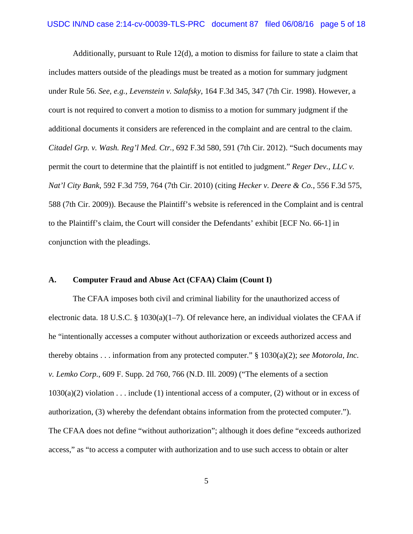Additionally, pursuant to Rule 12(d), a motion to dismiss for failure to state a claim that includes matters outside of the pleadings must be treated as a motion for summary judgment under Rule 56. *See, e.g., Levenstein v. Salafsky*, 164 F.3d 345, 347 (7th Cir. 1998). However, a court is not required to convert a motion to dismiss to a motion for summary judgment if the additional documents it considers are referenced in the complaint and are central to the claim. *Citadel Grp. v. Wash. Reg'l Med. Ctr.*, 692 F.3d 580, 591 (7th Cir. 2012). "Such documents may permit the court to determine that the plaintiff is not entitled to judgment." *Reger Dev., LLC v. Nat'l City Bank*, 592 F.3d 759, 764 (7th Cir. 2010) (citing *Hecker v. Deere & Co.*, 556 F.3d 575, 588 (7th Cir. 2009)). Because the Plaintiff's website is referenced in the Complaint and is central to the Plaintiff's claim, the Court will consider the Defendants' exhibit [ECF No. 66-1] in conjunction with the pleadings.

### **A. Computer Fraud and Abuse Act (CFAA) Claim (Count I)**

The CFAA imposes both civil and criminal liability for the unauthorized access of electronic data. 18 U.S.C. § 1030(a)(1–7). Of relevance here, an individual violates the CFAA if he "intentionally accesses a computer without authorization or exceeds authorized access and thereby obtains . . . information from any protected computer." § 1030(a)(2); *see Motorola, Inc. v. Lemko Corp.*, 609 F. Supp. 2d 760, 766 (N.D. Ill. 2009) ("The elements of a section  $1030(a)(2)$  violation . . . include (1) intentional access of a computer, (2) without or in excess of authorization, (3) whereby the defendant obtains information from the protected computer."). The CFAA does not define "without authorization"; although it does define "exceeds authorized access," as "to access a computer with authorization and to use such access to obtain or alter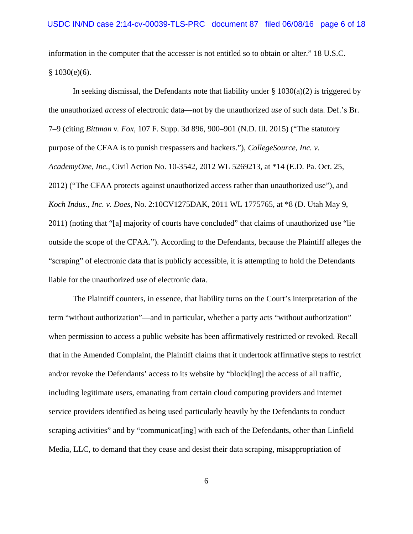information in the computer that the accesser is not entitled so to obtain or alter." 18 U.S.C.  $§ 1030(e)(6).$ 

In seeking dismissal, the Defendants note that liability under  $\S$  1030(a)(2) is triggered by the unauthorized *access* of electronic data—not by the unauthorized *use* of such data. Def.'s Br. 7–9 (citing *Bittman v. Fox*, 107 F. Supp. 3d 896, 900–901 (N.D. Ill. 2015) ("The statutory purpose of the CFAA is to punish trespassers and hackers."), *CollegeSource, Inc. v. AcademyOne, Inc.*, Civil Action No. 10-3542, 2012 WL 5269213, at \*14 (E.D. Pa. Oct. 25, 2012) ("The CFAA protects against unauthorized access rather than unauthorized use"), and *Koch Indus., Inc. v. Does*, No. 2:10CV1275DAK, 2011 WL 1775765, at \*8 (D. Utah May 9, 2011) (noting that "[a] majority of courts have concluded" that claims of unauthorized use "lie outside the scope of the CFAA."). According to the Defendants, because the Plaintiff alleges the "scraping" of electronic data that is publicly accessible, it is attempting to hold the Defendants liable for the unauthorized *use* of electronic data.

The Plaintiff counters, in essence, that liability turns on the Court's interpretation of the term "without authorization"—and in particular, whether a party acts "without authorization" when permission to access a public website has been affirmatively restricted or revoked. Recall that in the Amended Complaint, the Plaintiff claims that it undertook affirmative steps to restrict and/or revoke the Defendants' access to its website by "block[ing] the access of all traffic, including legitimate users, emanating from certain cloud computing providers and internet service providers identified as being used particularly heavily by the Defendants to conduct scraping activities" and by "communicat[ing] with each of the Defendants, other than Linfield Media, LLC, to demand that they cease and desist their data scraping, misappropriation of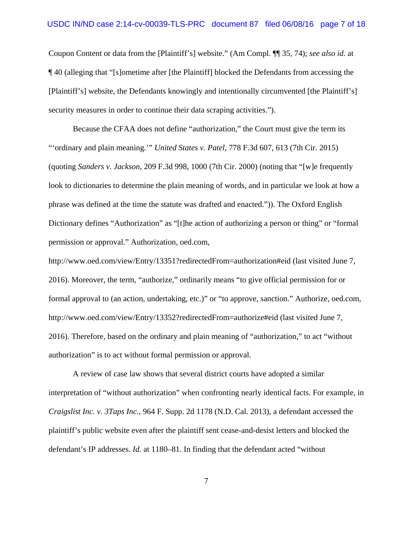Coupon Content or data from the [Plaintiff's] website." (Am Compl. ¶¶ 35, 74); *see also id.* at ¶ 40 (alleging that "[s]ometime after [the Plaintiff] blocked the Defendants from accessing the [Plaintiff's] website, the Defendants knowingly and intentionally circumvented [the Plaintiff's] security measures in order to continue their data scraping activities.").

Because the CFAA does not define "authorization," the Court must give the term its "'ordinary and plain meaning.'" *United States v. Patel*, 778 F.3d 607, 613 (7th Cir. 2015) (quoting *Sanders v. Jackson*, 209 F.3d 998, 1000 (7th Cir. 2000) (noting that "[w]e frequently look to dictionaries to determine the plain meaning of words, and in particular we look at how a phrase was defined at the time the statute was drafted and enacted.")). The Oxford English Dictionary defines "Authorization" as "[t]he action of authorizing a person or thing" or "formal permission or approval." Authorization, oed.com,

http://www.oed.com/view/Entry/13351?redirectedFrom=authorization#eid (last visited June 7, 2016). Moreover, the term, "authorize," ordinarily means "to give official permission for or formal approval to (an action, undertaking, etc.)" or "to approve, sanction." Authorize, oed.com, http://www.oed.com/view/Entry/13352?redirectedFrom=authorize#eid (last visited June 7, 2016). Therefore, based on the ordinary and plain meaning of "authorization," to act "without authorization" is to act without formal permission or approval.

A review of case law shows that several district courts have adopted a similar interpretation of "without authorization" when confronting nearly identical facts. For example, in *Craigslist Inc. v. 3Taps Inc.*, 964 F. Supp. 2d 1178 (N.D. Cal. 2013), a defendant accessed the plaintiff's public website even after the plaintiff sent cease-and-desist letters and blocked the defendant's IP addresses. *Id.* at 1180–81. In finding that the defendant acted "without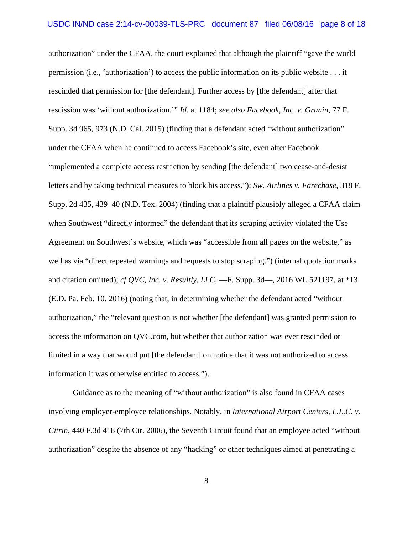authorization" under the CFAA, the court explained that although the plaintiff "gave the world permission (i.e., 'authorization') to access the public information on its public website . . . it rescinded that permission for [the defendant]. Further access by [the defendant] after that rescission was 'without authorization.'" *Id.* at 1184; *see also Facebook, Inc. v. Grunin*, 77 F. Supp. 3d 965, 973 (N.D. Cal. 2015) (finding that a defendant acted "without authorization" under the CFAA when he continued to access Facebook's site, even after Facebook "implemented a complete access restriction by sending [the defendant] two cease-and-desist letters and by taking technical measures to block his access."); *Sw. Airlines v. Farechase*, 318 F. Supp. 2d 435, 439–40 (N.D. Tex. 2004) (finding that a plaintiff plausibly alleged a CFAA claim when Southwest "directly informed" the defendant that its scraping activity violated the Use Agreement on Southwest's website, which was "accessible from all pages on the website," as well as via "direct repeated warnings and requests to stop scraping.") (internal quotation marks and citation omitted); *cf QVC, Inc. v. Resultly, LLC*, —F. Supp. 3d—, 2016 WL 521197, at \*13 (E.D. Pa. Feb. 10. 2016) (noting that, in determining whether the defendant acted "without authorization," the "relevant question is not whether [the defendant] was granted permission to access the information on QVC.com, but whether that authorization was ever rescinded or limited in a way that would put [the defendant] on notice that it was not authorized to access information it was otherwise entitled to access.").

Guidance as to the meaning of "without authorization" is also found in CFAA cases involving employer-employee relationships. Notably, in *International Airport Centers, L.L.C. v. Citrin*, 440 F.3d 418 (7th Cir. 2006), the Seventh Circuit found that an employee acted "without authorization" despite the absence of any "hacking" or other techniques aimed at penetrating a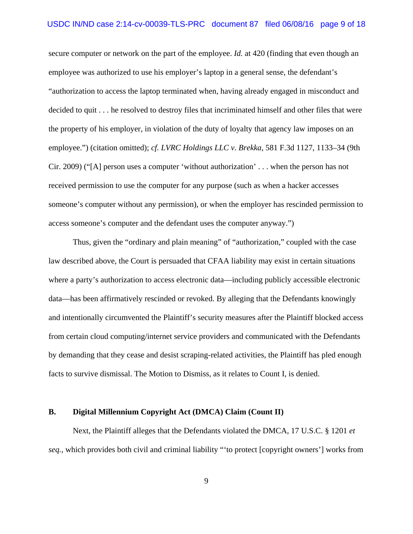secure computer or network on the part of the employee. *Id.* at 420 (finding that even though an employee was authorized to use his employer's laptop in a general sense, the defendant's "authorization to access the laptop terminated when, having already engaged in misconduct and decided to quit . . . he resolved to destroy files that incriminated himself and other files that were the property of his employer, in violation of the duty of loyalty that agency law imposes on an employee.") (citation omitted); *cf. LVRC Holdings LLC v. Brekka*, 581 F.3d 1127, 1133–34 (9th Cir. 2009) ("[A] person uses a computer 'without authorization' . . . when the person has not received permission to use the computer for any purpose (such as when a hacker accesses someone's computer without any permission), or when the employer has rescinded permission to access someone's computer and the defendant uses the computer anyway.")

Thus, given the "ordinary and plain meaning" of "authorization," coupled with the case law described above, the Court is persuaded that CFAA liability may exist in certain situations where a party's authorization to access electronic data—including publicly accessible electronic data—has been affirmatively rescinded or revoked. By alleging that the Defendants knowingly and intentionally circumvented the Plaintiff's security measures after the Plaintiff blocked access from certain cloud computing/internet service providers and communicated with the Defendants by demanding that they cease and desist scraping-related activities, the Plaintiff has pled enough facts to survive dismissal. The Motion to Dismiss, as it relates to Count I, is denied.

### **B. Digital Millennium Copyright Act (DMCA) Claim (Count II)**

Next, the Plaintiff alleges that the Defendants violated the DMCA, 17 U.S.C. § 1201 *et seq.*, which provides both civil and criminal liability "'to protect [copyright owners'] works from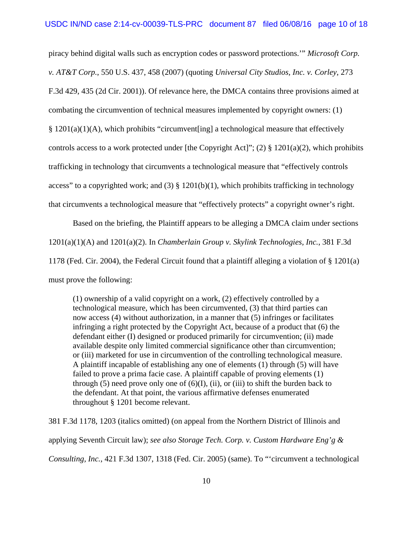piracy behind digital walls such as encryption codes or password protections.'" *Microsoft Corp. v. AT&T Corp.*, 550 U.S. 437, 458 (2007) (quoting *Universal City Studios, Inc. v. Corley*, 273 F.3d 429, 435 (2d Cir. 2001)). Of relevance here, the DMCA contains three provisions aimed at combating the circumvention of technical measures implemented by copyright owners: (1) § 1201(a)(1)(A), which prohibits "circumvent[ing] a technological measure that effectively controls access to a work protected under [the Copyright Act]"; (2)  $\S$  1201(a)(2), which prohibits trafficking in technology that circumvents a technological measure that "effectively controls access" to a copyrighted work; and (3)  $\S$  1201(b)(1), which prohibits trafficking in technology that circumvents a technological measure that "effectively protects" a copyright owner's right.

Based on the briefing, the Plaintiff appears to be alleging a DMCA claim under sections 1201(a)(1)(A) and 1201(a)(2). In *Chamberlain Group v. Skylink Technologies, Inc.*, 381 F.3d 1178 (Fed. Cir. 2004), the Federal Circuit found that a plaintiff alleging a violation of § 1201(a) must prove the following:

(1) ownership of a valid copyright on a work, (2) effectively controlled by a technological measure, which has been circumvented, (3) that third parties can now access (4) without authorization, in a manner that (5) infringes or facilitates infringing a right protected by the Copyright Act, because of a product that (6) the defendant either (I) designed or produced primarily for circumvention; (ii) made available despite only limited commercial significance other than circumvention; or (iii) marketed for use in circumvention of the controlling technological measure. A plaintiff incapable of establishing any one of elements (1) through (5) will have failed to prove a prima facie case. A plaintiff capable of proving elements (1) through  $(5)$  need prove only one of  $(6)(I)$ ,  $(ii)$ , or  $(iii)$  to shift the burden back to the defendant. At that point, the various affirmative defenses enumerated throughout § 1201 become relevant.

381 F.3d 1178, 1203 (italics omitted) (on appeal from the Northern District of Illinois and applying Seventh Circuit law); *see also Storage Tech. Corp. v. Custom Hardware Eng'g & Consulting, Inc.*, 421 F.3d 1307, 1318 (Fed. Cir. 2005) (same). To "'circumvent a technological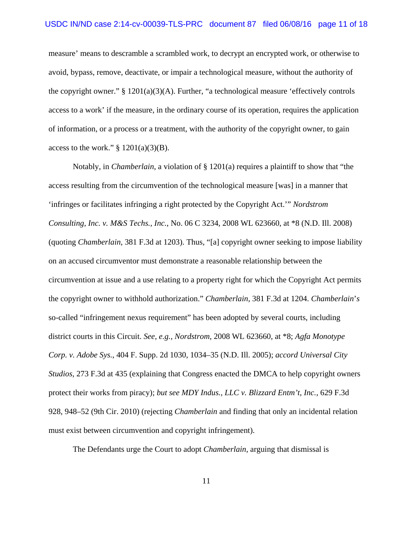measure' means to descramble a scrambled work, to decrypt an encrypted work, or otherwise to avoid, bypass, remove, deactivate, or impair a technological measure, without the authority of the copyright owner."  $\S$  1201(a)(3)(A). Further, "a technological measure 'effectively controls access to a work' if the measure, in the ordinary course of its operation, requires the application of information, or a process or a treatment, with the authority of the copyright owner, to gain access to the work."  $\S$  1201(a)(3)(B).

Notably, in *Chamberlain*, a violation of § 1201(a) requires a plaintiff to show that "the access resulting from the circumvention of the technological measure [was] in a manner that 'infringes or facilitates infringing a right protected by the Copyright Act.'" *Nordstrom Consulting, Inc. v. M&S Techs., Inc.*, No. 06 C 3234, 2008 WL 623660, at \*8 (N.D. Ill. 2008) (quoting *Chamberlain*, 381 F.3d at 1203). Thus, "[a] copyright owner seeking to impose liability on an accused circumventor must demonstrate a reasonable relationship between the circumvention at issue and a use relating to a property right for which the Copyright Act permits the copyright owner to withhold authorization." *Chamberlain*, 381 F.3d at 1204. *Chamberlain*'*s* so-called "infringement nexus requirement" has been adopted by several courts, including district courts in this Circuit. *See, e.g., Nordstrom,* 2008 WL 623660, at \*8; *Agfa Monotype Corp. v. Adobe Sys.*, 404 F. Supp. 2d 1030, 1034–35 (N.D. Ill. 2005); *accord Universal City Studios*, 273 F.3d at 435 (explaining that Congress enacted the DMCA to help copyright owners protect their works from piracy); *but see MDY Indus., LLC v. Blizzard Entm't, Inc.*, 629 F.3d 928, 948–52 (9th Cir. 2010) (rejecting *Chamberlain* and finding that only an incidental relation must exist between circumvention and copyright infringement).

The Defendants urge the Court to adopt *Chamberlain*, arguing that dismissal is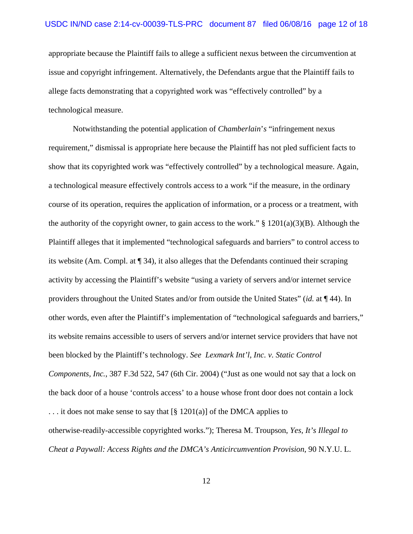appropriate because the Plaintiff fails to allege a sufficient nexus between the circumvention at issue and copyright infringement. Alternatively, the Defendants argue that the Plaintiff fails to allege facts demonstrating that a copyrighted work was "effectively controlled" by a technological measure.

Notwithstanding the potential application of *Chamberlain*'*s* "infringement nexus requirement," dismissal is appropriate here because the Plaintiff has not pled sufficient facts to show that its copyrighted work was "effectively controlled" by a technological measure. Again, a technological measure effectively controls access to a work "if the measure, in the ordinary course of its operation, requires the application of information, or a process or a treatment, with the authority of the copyright owner, to gain access to the work."  $\S$  1201(a)(3)(B). Although the Plaintiff alleges that it implemented "technological safeguards and barriers" to control access to its website (Am. Compl. at ¶ 34), it also alleges that the Defendants continued their scraping activity by accessing the Plaintiff's website "using a variety of servers and/or internet service providers throughout the United States and/or from outside the United States" (*id.* at ¶ 44). In other words, even after the Plaintiff's implementation of "technological safeguards and barriers," its website remains accessible to users of servers and/or internet service providers that have not been blocked by the Plaintiff's technology. *See Lexmark Int'l, Inc. v. Static Control Components, Inc.*, 387 F.3d 522, 547 (6th Cir. 2004) ("Just as one would not say that a lock on the back door of a house 'controls access' to a house whose front door does not contain a lock ... it does not make sense to say that  $\lceil \frac{8}{9} \cdot 1201(a) \rceil$  of the DMCA applies to otherwise-readily-accessible copyrighted works."); Theresa M. Troupson, *Yes, It's Illegal to Cheat a Paywall: Access Rights and the DMCA's Anticircumvention Provision*, 90 N.Y.U. L.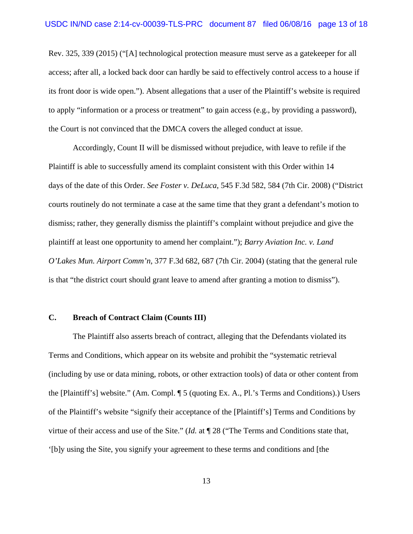Rev. 325, 339 (2015) ("[A] technological protection measure must serve as a gatekeeper for all access; after all, a locked back door can hardly be said to effectively control access to a house if its front door is wide open."). Absent allegations that a user of the Plaintiff's website is required to apply "information or a process or treatment" to gain access (e.g., by providing a password), the Court is not convinced that the DMCA covers the alleged conduct at issue.

Accordingly, Count II will be dismissed without prejudice, with leave to refile if the Plaintiff is able to successfully amend its complaint consistent with this Order within 14 days of the date of this Order. *See Foster v. DeLuca*, 545 F.3d 582, 584 (7th Cir. 2008) ("District courts routinely do not terminate a case at the same time that they grant a defendant's motion to dismiss; rather, they generally dismiss the plaintiff's complaint without prejudice and give the plaintiff at least one opportunity to amend her complaint."); *Barry Aviation Inc. v. Land O'Lakes Mun. Airport Comm'n*, 377 F.3d 682, 687 (7th Cir. 2004) (stating that the general rule is that "the district court should grant leave to amend after granting a motion to dismiss").

### **C. Breach of Contract Claim (Counts III)**

The Plaintiff also asserts breach of contract, alleging that the Defendants violated its Terms and Conditions, which appear on its website and prohibit the "systematic retrieval (including by use or data mining, robots, or other extraction tools) of data or other content from the [Plaintiff's] website." (Am. Compl. ¶ 5 (quoting Ex. A., Pl.'s Terms and Conditions).) Users of the Plaintiff's website "signify their acceptance of the [Plaintiff's] Terms and Conditions by virtue of their access and use of the Site." (*Id.* at ¶ 28 ("The Terms and Conditions state that, '[b]y using the Site, you signify your agreement to these terms and conditions and [the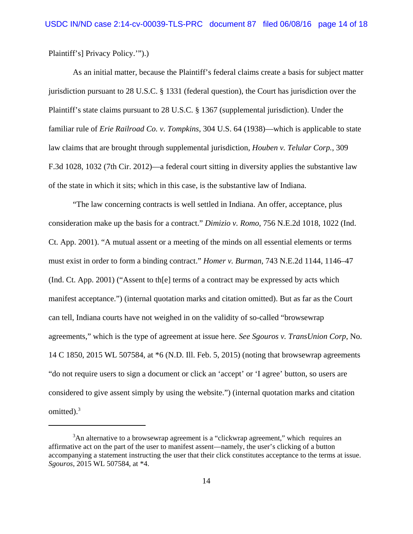Plaintiff's] Privacy Policy.'").)

As an initial matter, because the Plaintiff's federal claims create a basis for subject matter jurisdiction pursuant to 28 U.S.C. § 1331 (federal question), the Court has jurisdiction over the Plaintiff's state claims pursuant to 28 U.S.C. § 1367 (supplemental jurisdiction). Under the familiar rule of *Erie Railroad Co. v. Tompkins*, 304 U.S. 64 (1938)—which is applicable to state law claims that are brought through supplemental jurisdiction, *Houben v. Telular Corp.*, 309 F.3d 1028, 1032 (7th Cir. 2012)—a federal court sitting in diversity applies the substantive law of the state in which it sits; which in this case, is the substantive law of Indiana.

"The law concerning contracts is well settled in Indiana. An offer, acceptance, plus consideration make up the basis for a contract." *Dimizio v. Romo*, 756 N.E.2d 1018, 1022 (Ind. Ct. App. 2001). "A mutual assent or a meeting of the minds on all essential elements or terms must exist in order to form a binding contract." *Homer v. Burman*, 743 N.E.2d 1144, 1146–47 (Ind. Ct. App. 2001) ("Assent to th[e] terms of a contract may be expressed by acts which manifest acceptance.") (internal quotation marks and citation omitted). But as far as the Court can tell, Indiana courts have not weighed in on the validity of so-called "browsewrap agreements," which is the type of agreement at issue here. *See Sgouros v. TransUnion Corp*, No. 14 C 1850, 2015 WL 507584, at \*6 (N.D. Ill. Feb. 5, 2015) (noting that browsewrap agreements "do not require users to sign a document or click an 'accept' or 'I agree' button, so users are considered to give assent simply by using the website.") (internal quotation marks and citation omitted). $3$ 

<sup>&</sup>lt;sup>3</sup>An alternative to a browsewrap agreement is a "clickwrap agreement," which requires an affirmative act on the part of the user to manifest assent—namely, the user's clicking of a button accompanying a statement instructing the user that their click constitutes acceptance to the terms at issue. *Sgouros*, 2015 WL 507584, at \*4.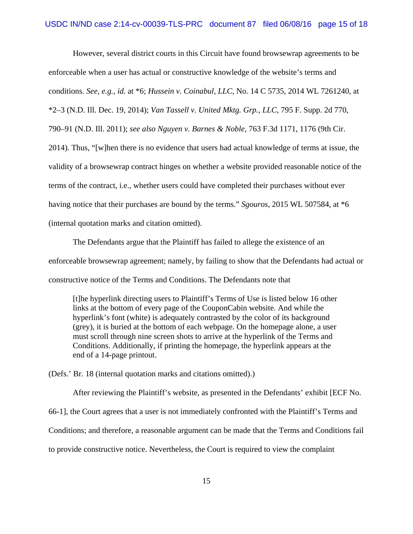However, several district courts in this Circuit have found browsewrap agreements to be enforceable when a user has actual or constructive knowledge of the website's terms and conditions. *See, e.g., id.* at \*6; *Hussein v. Coinabul, LLC*, No. 14 C 5735, 2014 WL 7261240, at \*2–3 (N.D. Ill. Dec. 19, 2014); *Van Tassell v. United Mktg. Grp., LLC*, 795 F. Supp. 2d 770, 790–91 (N.D. Ill. 2011); *see also Nguyen v. Barnes & Noble*, 763 F.3d 1171, 1176 (9th Cir. 2014)*.* Thus, "[w]hen there is no evidence that users had actual knowledge of terms at issue, the

validity of a browsewrap contract hinges on whether a website provided reasonable notice of the

terms of the contract, i.e., whether users could have completed their purchases without ever

having notice that their purchases are bound by the terms." *Sgouros*, 2015 WL 507584, at \*6

(internal quotation marks and citation omitted).

The Defendants argue that the Plaintiff has failed to allege the existence of an enforceable browsewrap agreement; namely, by failing to show that the Defendants had actual or constructive notice of the Terms and Conditions. The Defendants note that

[t]he hyperlink directing users to Plaintiff's Terms of Use is listed below 16 other links at the bottom of every page of the CouponCabin website. And while the hyperlink's font (white) is adequately contrasted by the color of its background (grey), it is buried at the bottom of each webpage. On the homepage alone, a user must scroll through nine screen shots to arrive at the hyperlink of the Terms and Conditions. Additionally, if printing the homepage, the hyperlink appears at the end of a 14-page printout.

(Defs.' Br. 18 (internal quotation marks and citations omitted).)

After reviewing the Plaintiff's website, as presented in the Defendants' exhibit [ECF No.

66-1], the Court agrees that a user is not immediately confronted with the Plaintiff's Terms and

Conditions; and therefore, a reasonable argument can be made that the Terms and Conditions fail

to provide constructive notice. Nevertheless, the Court is required to view the complaint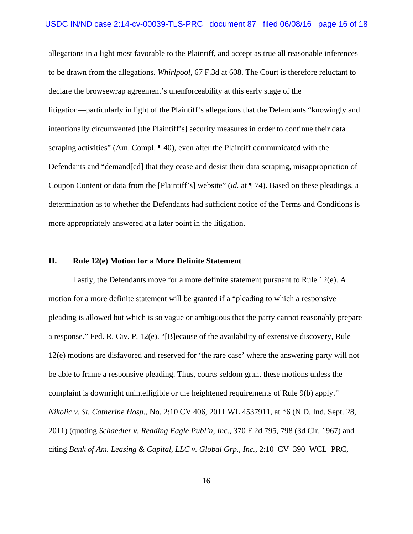allegations in a light most favorable to the Plaintiff, and accept as true all reasonable inferences to be drawn from the allegations. *Whirlpool*, 67 F.3d at 608. The Court is therefore reluctant to declare the browsewrap agreement's unenforceability at this early stage of the litigation—particularly in light of the Plaintiff's allegations that the Defendants "knowingly and intentionally circumvented [the Plaintiff's] security measures in order to continue their data scraping activities" (Am. Compl. ¶ 40), even after the Plaintiff communicated with the Defendants and "demand[ed] that they cease and desist their data scraping, misappropriation of Coupon Content or data from the [Plaintiff's] website" (*id.* at ¶ 74). Based on these pleadings, a determination as to whether the Defendants had sufficient notice of the Terms and Conditions is more appropriately answered at a later point in the litigation.

# **II. Rule 12(e) Motion for a More Definite Statement**

Lastly, the Defendants move for a more definite statement pursuant to Rule 12(e). A motion for a more definite statement will be granted if a "pleading to which a responsive pleading is allowed but which is so vague or ambiguous that the party cannot reasonably prepare a response." Fed. R. Civ. P. 12(e). "[B]ecause of the availability of extensive discovery, Rule 12(e) motions are disfavored and reserved for 'the rare case' where the answering party will not be able to frame a responsive pleading. Thus, courts seldom grant these motions unless the complaint is downright unintelligible or the heightened requirements of Rule 9(b) apply." *Nikolic v. St. Catherine Hosp.*, No. 2:10 CV 406, 2011 WL 4537911, at \*6 (N.D. Ind. Sept. 28, 2011) (quoting *Schaedler v. Reading Eagle Publ'n, Inc.*, 370 F.2d 795, 798 (3d Cir. 1967) and citing *Bank of Am. Leasing & Capital, LLC v. Global Grp., Inc.*, 2:10–CV–390–WCL–PRC,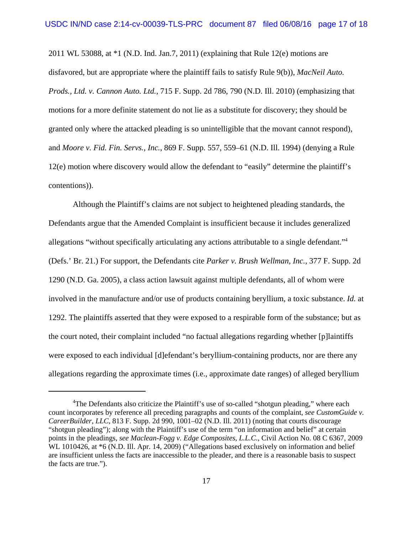2011 WL 53088, at \*1 (N.D. Ind. Jan.7, 2011) (explaining that Rule 12(e) motions are disfavored, but are appropriate where the plaintiff fails to satisfy Rule 9(b)), *MacNeil Auto. Prods., Ltd. v. Cannon Auto. Ltd.*, 715 F. Supp. 2d 786, 790 (N.D. Ill. 2010) (emphasizing that motions for a more definite statement do not lie as a substitute for discovery; they should be granted only where the attacked pleading is so unintelligible that the movant cannot respond), and *Moore v. Fid. Fin. Servs., Inc.*, 869 F. Supp. 557, 559–61 (N.D. Ill. 1994) (denying a Rule 12(e) motion where discovery would allow the defendant to "easily" determine the plaintiff's contentions)).

Although the Plaintiff's claims are not subject to heightened pleading standards, the Defendants argue that the Amended Complaint is insufficient because it includes generalized allegations "without specifically articulating any actions attributable to a single defendant."4 (Defs.' Br. 21.) For support, the Defendants cite *Parker v. Brush Wellman, Inc.*, 377 F. Supp. 2d 1290 (N.D. Ga. 2005), a class action lawsuit against multiple defendants, all of whom were involved in the manufacture and/or use of products containing beryllium, a toxic substance. *Id.* at 1292. The plaintiffs asserted that they were exposed to a respirable form of the substance; but as the court noted, their complaint included "no factual allegations regarding whether [p]laintiffs were exposed to each individual [d]efendant's beryllium-containing products, nor are there any allegations regarding the approximate times (i.e., approximate date ranges) of alleged beryllium

<sup>&</sup>lt;sup>4</sup>The Defendants also criticize the Plaintiff's use of so-called "shotgun pleading," where each count incorporates by reference all preceding paragraphs and counts of the complaint, *see CustomGuide v. CareerBuilder, LLC*, 813 F. Supp. 2d 990, 1001–02 (N.D. Ill. 2011) (noting that courts discourage "shotgun pleading"); along with the Plaintiff's use of the term "on information and belief" at certain points in the pleadings, *see Maclean-Fogg v. Edge Composites, L.L.C.*, Civil Action No. 08 C 6367, 2009 WL 1010426, at  $*6$  (N.D. Ill. Apr. 14, 2009) ("Allegations based exclusively on information and belief are insufficient unless the facts are inaccessible to the pleader, and there is a reasonable basis to suspect the facts are true.").